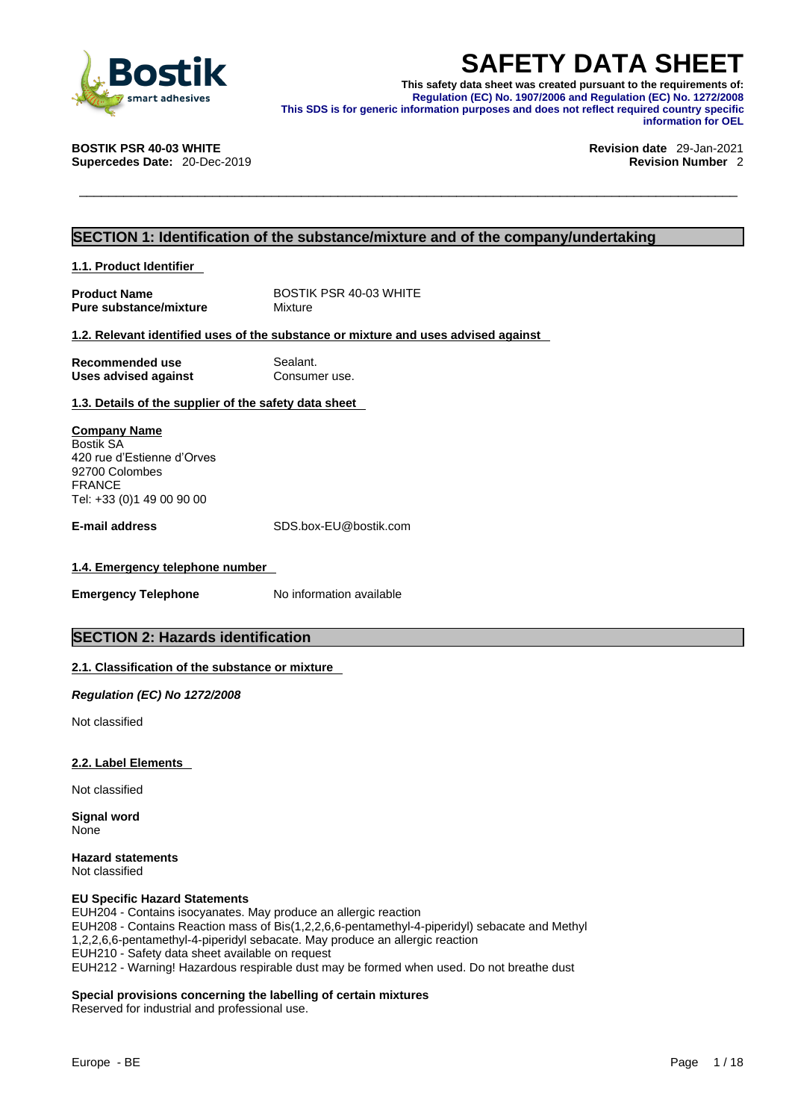

**SAFETY DATA SHEET**<br>
This safety data sheet was created pursuant to the requirements of:<br>
Regulation (EC) No. 1907/2006 and Regulation (EC) No. 1272/2008<br>
This SDS is for generic information purposes and does not reflect r **This safety data sheet was created pursuant to the requirements of: Regulation (EC) No. 1907/2006 and Regulation (EC) No. 1272/2008 This SDS is for generic information purposes and does not reflect required country specific information for OEL** 

**Supercedes Date: 20-Dec-2019** 

## **BOSTIK PSR 40-03 WHITE Revision date** 29-Jan-2021

### **SECTION 1: Identification of the substance/mixture and of the company/undertaking**

**1.1. Product Identifier** 

**Product Name** BOSTIK PSR 40-03 WHITE<br> **Pure substance/mixture** Mixture Mixture **Pure substance/mixture** 

### **1.2. Relevant identified uses of the substance or mixture and uses advised against**

**Recommended use** Sealant. **Uses advised against Consumer use.** 

### **1.3. Details of the supplier of the safety data sheet**

**Company Name** Bostik SA 420 rue d'Estienne d'Orves 92700 Colombes FRANCE Tel: +33 (0)1 49 00 90 00

**E-mail address** SDS.box-EU@bostik.com

### **1.4. Emergency telephone number**

**Emergency Telephone** No information available

### **SECTION 2: Hazards identification**

### **2.1. Classification of the substance or mixture**

*Regulation (EC) No 1272/2008* 

Not classified

### **2.2. Label Elements**

Not classified

**Signal word** None

**Hazard statements** Not classified

### **EU Specific Hazard Statements**

EUH204 - Contains isocyanates. May produce an allergic reaction EUH208 - Contains Reaction mass of Bis(1,2,2,6,6-pentamethyl-4-piperidyl) sebacate and Methyl 1,2,2,6,6-pentamethyl-4-piperidyl sebacate. May produce an allergic reaction EUH210 - Safety data sheet available on request EUH212 - Warning! Hazardous respirable dust may be formed when used. Do not breathe dust

### **Special provisions concerning the labelling of certain mixtures**

Reserved for industrial and professional use.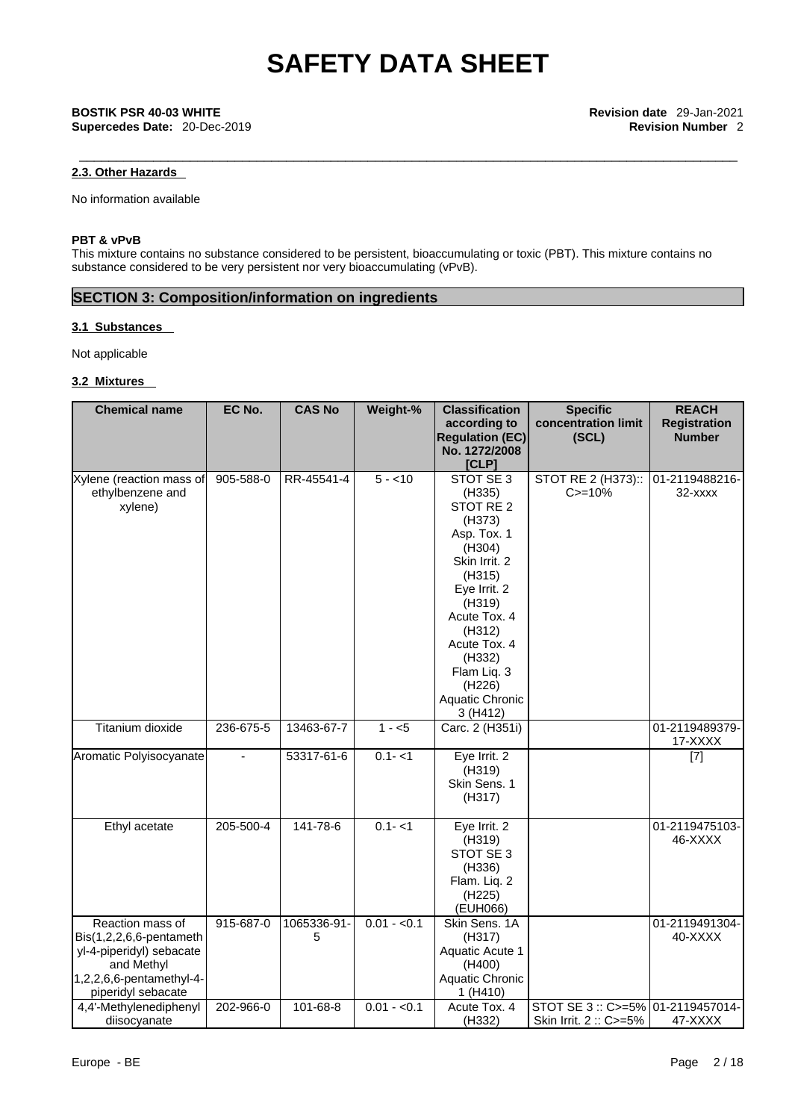### **2.3. Other Hazards**

No information available

### **PBT & vPvB**

This mixture contains no substance considered to be persistent, bioaccumulating or toxic (PBT). This mixture contains no substance considered to be very persistent nor very bioaccumulating (vPvB).

### **SECTION 3: Composition/information on ingredients**

### **3.1 Substances**

Not applicable

### **3.2 Mixtures**

| <b>Chemical name</b>        | EC No.    | <b>CAS No</b> | Weight-%     | <b>Classification</b>  | <b>Specific</b>      | <b>REACH</b>        |  |
|-----------------------------|-----------|---------------|--------------|------------------------|----------------------|---------------------|--|
|                             |           |               |              | according to           | concentration limit  | <b>Registration</b> |  |
|                             |           |               |              | <b>Regulation (EC)</b> | (SCL)                | <b>Number</b>       |  |
|                             |           |               |              | No. 1272/2008          |                      |                     |  |
| Xylene (reaction mass of    | 905-588-0 | RR-45541-4    | $5 - 10$     | [CLP]<br>STOT SE 3     | STOT RE 2 (H373)::   | 01-2119488216-      |  |
| ethylbenzene and            |           |               |              | (H335)                 | $C = 10%$            | 32-xxxx             |  |
| xylene)                     |           |               |              | STOT RE 2              |                      |                     |  |
|                             |           |               |              | (H373)                 |                      |                     |  |
|                             |           |               |              | Asp. Tox. 1            |                      |                     |  |
|                             |           |               |              | (H304)                 |                      |                     |  |
|                             |           |               |              | Skin Irrit. 2          |                      |                     |  |
|                             |           |               |              | (H315)                 |                      |                     |  |
|                             |           |               |              | Eye Irrit. 2           |                      |                     |  |
|                             |           |               |              | (H319)                 |                      |                     |  |
|                             |           |               |              | Acute Tox. 4           |                      |                     |  |
|                             |           |               |              | (H312)                 |                      |                     |  |
|                             |           |               |              | Acute Tox. 4           |                      |                     |  |
|                             |           |               |              | (H332)                 |                      |                     |  |
|                             |           |               |              | Flam Liq. 3            |                      |                     |  |
|                             |           |               |              | (H226)                 |                      |                     |  |
|                             |           |               |              | Aquatic Chronic        |                      |                     |  |
| Titanium dioxide            |           |               | $1 - 5$      | 3 (H412)               |                      |                     |  |
|                             | 236-675-5 | 13463-67-7    |              | Carc. 2 (H351i)        |                      | 01-2119489379-      |  |
| Aromatic Polyisocyanate     |           | 53317-61-6    | $0.1 - 1$    | Eye Irrit. 2           |                      | 17-XXXX             |  |
|                             |           |               |              | (H319)                 |                      | $[7]$               |  |
|                             |           |               |              | Skin Sens. 1           |                      |                     |  |
|                             |           |               |              | (H317)                 |                      |                     |  |
|                             |           |               |              |                        |                      |                     |  |
| Ethyl acetate               | 205-500-4 | 141-78-6      | $0.1 - 1$    | Eye Irrit. 2           |                      | 01-2119475103-      |  |
|                             |           |               |              | (H319)                 |                      | 46-XXXX             |  |
|                             |           |               |              | STOT SE 3              |                      |                     |  |
|                             |           |               |              | (H336)                 |                      |                     |  |
|                             |           |               |              | Flam. Liq. 2           |                      |                     |  |
|                             |           |               |              | (H225)                 |                      |                     |  |
|                             |           |               |              | (EUH066)               |                      |                     |  |
| Reaction mass of            | 915-687-0 | 1065336-91-   | $0.01 - 0.1$ | Skin Sens. 1A          |                      | 01-2119491304-      |  |
| $Bis(1,2,2,6,6$ -pentameth  |           | 5             |              | (H317)                 |                      | 40-XXXX             |  |
| yl-4-piperidyl) sebacate    |           |               |              | Aquatic Acute 1        |                      |                     |  |
| and Methyl                  |           |               |              | (H400)                 |                      |                     |  |
| $1,2,2,6,6$ -pentamethyl-4- |           |               |              | Aquatic Chronic        |                      |                     |  |
| piperidyl sebacate          |           |               |              | 1 (H410)               |                      |                     |  |
| 4,4'-Methylenediphenyl      | 202-966-0 | 101-68-8      | $0.01 - 0.1$ | Acute Tox. 4           | STOT SE 3 :: C>=5%   | 01-2119457014-      |  |
| diisocyanate                |           |               |              | (H332)                 | Skin Irrit. 2: C>=5% | 47-XXXX             |  |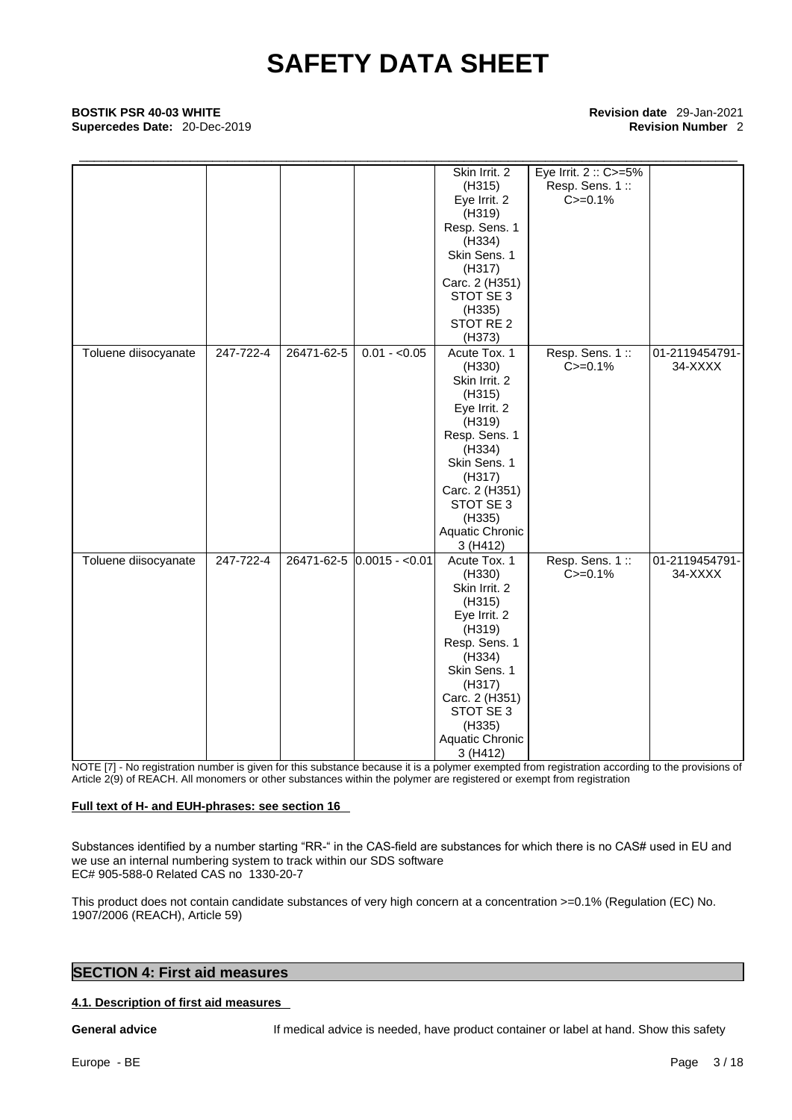## \_\_\_\_\_\_\_\_\_\_\_\_\_\_\_\_\_\_\_\_\_\_\_\_\_\_\_\_\_\_\_\_\_\_\_\_\_\_\_\_\_\_\_\_\_\_\_\_\_\_\_\_\_\_\_\_\_\_\_\_\_\_\_\_\_\_\_\_\_\_\_\_\_\_\_\_\_\_\_\_\_\_\_\_\_\_\_\_\_ **BOSTIK PSR 40-03 WHITE Revision date** 29-Jan-2021 **Supercedes Date:** 20-Dec-2019 **Revision Number** 2

Skin Irrit. 2 Eye Irrit. 2 :: C>=5% (H315) Eye Irrit. 2 (H319) Resp. Sens. 1 (H334) Skin Sens. 1 (H317) Carc. 2 (H351) STOT SE 3 (H335) STOT RE 2 (H373) Resp. Sens. 1::  $C = 0.1%$ Toluene diisocyanate | 247-722-4 | 26471-62-5 | 0.01 - <0.05 | Acute Tox. 1 (H330) Skin Irrit. 2 (H315) Eye Irrit. 2 (H319) Resp. Sens. 1 (H334) Skin Sens. 1 (H317) Carc. 2 (H351) STOT SE 3 (H335) Aquatic Chronic 3 (H412) Resp. Sens. 1 ::  $C = 0.1\%$ 01-2119454791- 34-XXXX Toluene diisocyanate | 247-722-4 | 26471-62-5  $|0.0015 - 0.01|$  Acute Tox. 1 | Resp. Sens. 1 :: (H330) Skin Irrit. 2 (H315) Eye Irrit. 2 (H319) Resp. Sens. 1 (H334) Skin Sens. 1 (H317) Carc. 2 (H351) STOT SE 3 (H335) Aquatic Chronic 3 (H412) Resp. Sens. 1 :: 01-2119454791-  $C = 0.1%$ 34-XXXX

NOTE [7] - No registration number is given for this substance because it is a polymer exempted from registration according to the provisions of Article 2(9) of REACH. All monomers or other substances within the polymer are registered or exempt from registration

### **Full text of H- and EUH-phrases: see section 16**

Substances identified by a number starting "RR-" in the CAS-field are substances for which there is no CAS# used in EU and we use an internal numbering system to track within our SDS software EC# 905-588-0 Related CAS no 1330-20-7

This product does not contain candidate substances of very high concern at a concentration  $>=0.1\%$  (Regulation (EC) No. 1907/2006 (REACH), Article 59)

### **SECTION 4: First aid measures**

**4.1. Description of first aid measures**

**General advice** If medical advice is needed, have product container or label at hand. Show this safety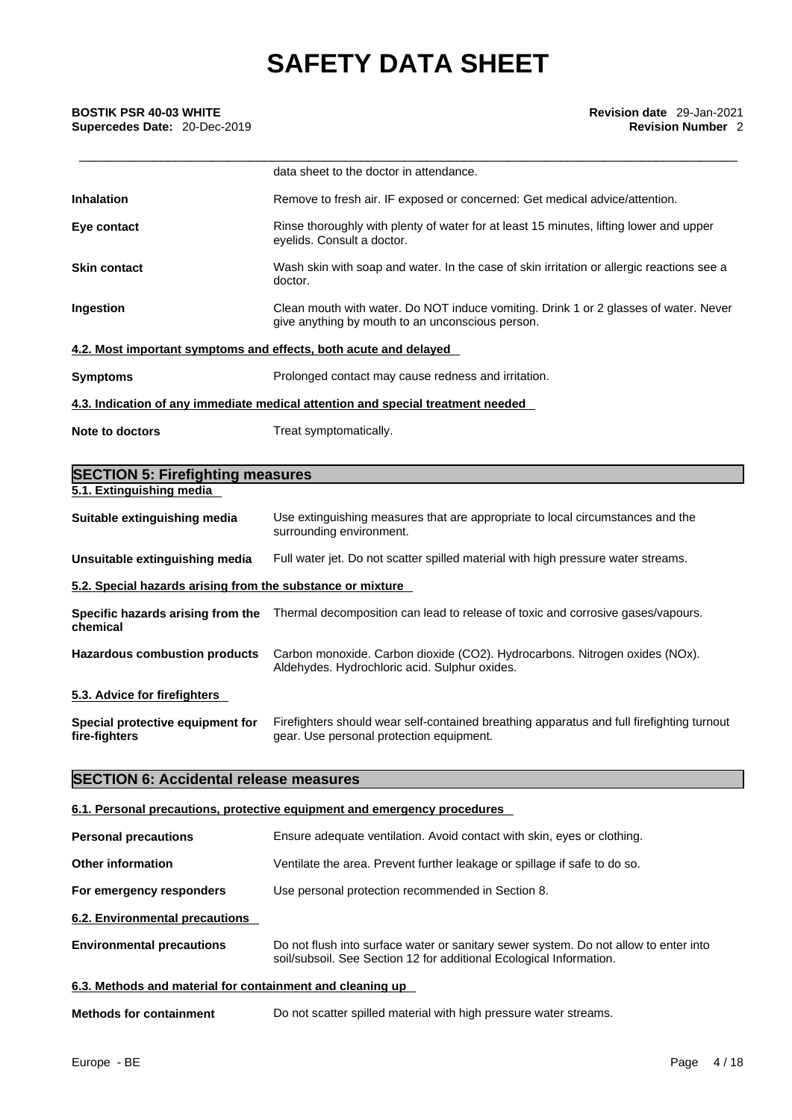|                     | data sheet to the doctor in attendance.                                                                                                  |
|---------------------|------------------------------------------------------------------------------------------------------------------------------------------|
| <b>Inhalation</b>   | Remove to fresh air. IF exposed or concerned: Get medical advice/attention.                                                              |
| Eye contact         | Rinse thoroughly with plenty of water for at least 15 minutes, lifting lower and upper<br>eyelids. Consult a doctor.                     |
| <b>Skin contact</b> | Wash skin with soap and water. In the case of skin irritation or allergic reactions see a<br>doctor.                                     |
| Ingestion           | Clean mouth with water. Do NOT induce vomiting. Drink 1 or 2 glasses of water. Never<br>give anything by mouth to an unconscious person. |
|                     | 4.2. Most important symptoms and effects, both acute and delayed                                                                         |
| <b>Symptoms</b>     | Prolonged contact may cause redness and irritation.                                                                                      |
|                     | 4.3. Indication of any immediate medical attention and special treatment needed                                                          |
| Note to doctors     | Treat symptomatically.                                                                                                                   |

| <b>SECTION 5: Firefighting measures</b>                    |                                                                                                                                       |
|------------------------------------------------------------|---------------------------------------------------------------------------------------------------------------------------------------|
| 5.1. Extinguishing media                                   |                                                                                                                                       |
| Suitable extinguishing media                               | Use extinguishing measures that are appropriate to local circumstances and the<br>surrounding environment.                            |
| Unsuitable extinguishing media                             | Full water jet. Do not scatter spilled material with high pressure water streams.                                                     |
| 5.2. Special hazards arising from the substance or mixture |                                                                                                                                       |
| chemical                                                   | Specific hazards arising from the Thermal decomposition can lead to release of toxic and corrosive gases/vapours.                     |
| <b>Hazardous combustion products</b>                       | Carbon monoxide. Carbon dioxide (CO2). Hydrocarbons. Nitrogen oxides (NOx).<br>Aldehydes. Hydrochloric acid. Sulphur oxides.          |
| 5.3. Advice for firefighters                               |                                                                                                                                       |
| Special protective equipment for<br>fire-fighters          | Firefighters should wear self-contained breathing apparatus and full firefighting turnout<br>gear. Use personal protection equipment. |

### **SECTION 6: Accidental release measures**

### **6.1. Personal precautions, protective equipment and emergency procedures**

| <b>Personal precautions</b>                               | Ensure adequate ventilation. Avoid contact with skin, eyes or clothing.                                                                                     |
|-----------------------------------------------------------|-------------------------------------------------------------------------------------------------------------------------------------------------------------|
| <b>Other information</b>                                  | Ventilate the area. Prevent further leakage or spillage if safe to do so.                                                                                   |
| For emergency responders                                  | Use personal protection recommended in Section 8.                                                                                                           |
| 6.2. Environmental precautions                            |                                                                                                                                                             |
| <b>Environmental precautions</b>                          | Do not flush into surface water or sanitary sewer system. Do not allow to enter into<br>soil/subsoil. See Section 12 for additional Ecological Information. |
| 6.3. Methods and material for containment and cleaning up |                                                                                                                                                             |
| <b>Methods for containment</b>                            | Do not scatter spilled material with high pressure water streams.                                                                                           |
|                                                           |                                                                                                                                                             |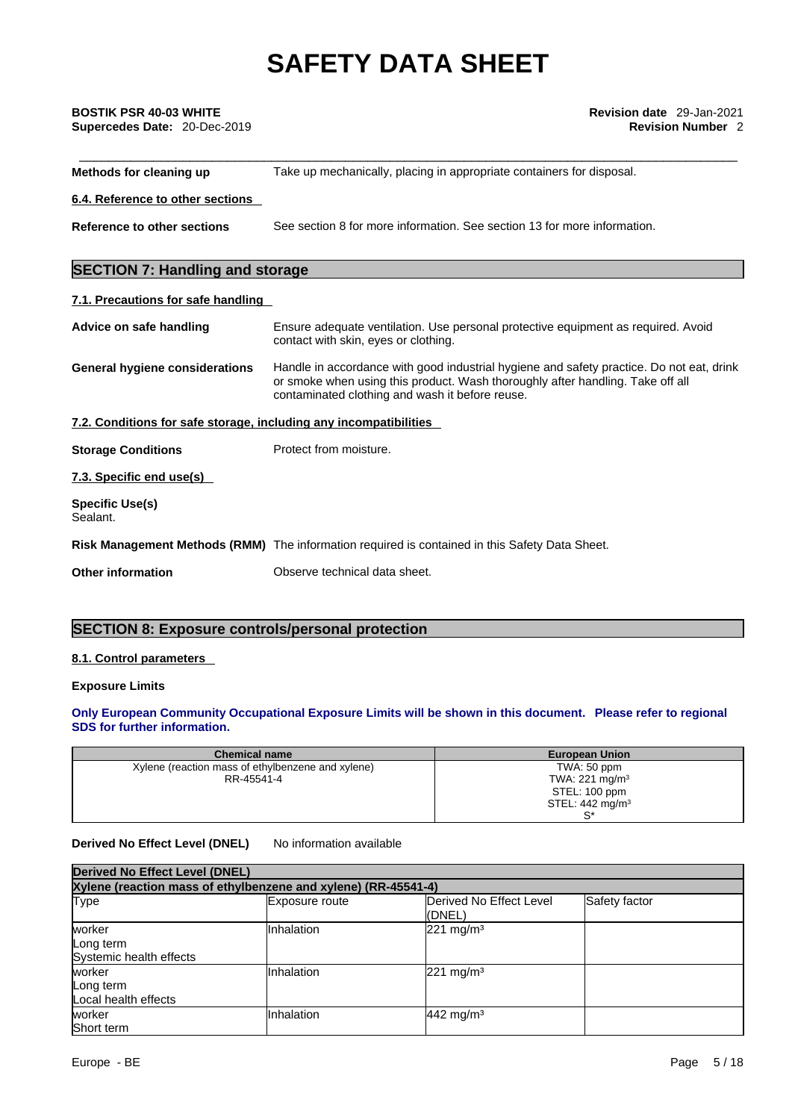| BOSTIK PSR 40-03 WHITE |  |
|------------------------|--|
|                        |  |

| <b>BOSTIK PSR 40-03 WHITE</b><br>Supercedes Date: 20-Dec-2019     | Revision date 29-Jan-2021<br><b>Revision Number 2</b>                                                                                                                                                                         |
|-------------------------------------------------------------------|-------------------------------------------------------------------------------------------------------------------------------------------------------------------------------------------------------------------------------|
| Methods for cleaning up                                           | Take up mechanically, placing in appropriate containers for disposal.                                                                                                                                                         |
| 6.4. Reference to other sections                                  |                                                                                                                                                                                                                               |
| Reference to other sections                                       | See section 8 for more information. See section 13 for more information.                                                                                                                                                      |
| <b>SECTION 7: Handling and storage</b>                            |                                                                                                                                                                                                                               |
| 7.1. Precautions for safe handling                                |                                                                                                                                                                                                                               |
| Advice on safe handling                                           | Ensure adequate ventilation. Use personal protective equipment as required. Avoid<br>contact with skin, eyes or clothing.                                                                                                     |
| <b>General hygiene considerations</b>                             | Handle in accordance with good industrial hygiene and safety practice. Do not eat, drink<br>or smoke when using this product. Wash thoroughly after handling. Take off all<br>contaminated clothing and wash it before reuse. |
| 7.2. Conditions for safe storage, including any incompatibilities |                                                                                                                                                                                                                               |
| <b>Storage Conditions</b>                                         | Protect from moisture.                                                                                                                                                                                                        |
| 7.3. Specific end use(s)                                          |                                                                                                                                                                                                                               |
| <b>Specific Use(s)</b><br>Sealant.                                |                                                                                                                                                                                                                               |
|                                                                   | Risk Management Methods (RMM) The information required is contained in this Safety Data Sheet.                                                                                                                                |
| <b>Other information</b>                                          | Observe technical data sheet.                                                                                                                                                                                                 |

### **SECTION 8: Exposure controls/personal protection**

### **8.1. Control parameters**

### **Exposure Limits**

### **Only European Community Occupational Exposure Limits will be shown in this document. Please refer to regional SDS for further information.**

| <b>Chemical name</b>                              | <b>European Union</b>      |
|---------------------------------------------------|----------------------------|
| Xylene (reaction mass of ethylbenzene and xylene) | TWA: 50 ppm                |
| RR-45541-4                                        | TWA: 221 mg/m <sup>3</sup> |
|                                                   | STEL: 100 ppm              |
|                                                   | STEL: $442 \text{ mg/m}^3$ |
|                                                   | $\mathbf{C}^*$             |

### **Derived No Effect Level (DNEL)** No information available

| <b>Derived No Effect Level (DNEL)</b><br>Xylene (reaction mass of ethylbenzene and xylene) (RR-45541-4) |            |                         |  |  |  |
|---------------------------------------------------------------------------------------------------------|------------|-------------------------|--|--|--|
|                                                                                                         |            |                         |  |  |  |
| worker<br>Long term<br>Systemic health effects                                                          | Inhalation | $221 \text{ mg/m}^3$    |  |  |  |
| worker<br>Long term<br>Local health effects                                                             | Inhalation | $221 \text{ mg/m}^3$    |  |  |  |
| worker<br><b>Short term</b>                                                                             | Inhalation | $442$ mg/m <sup>3</sup> |  |  |  |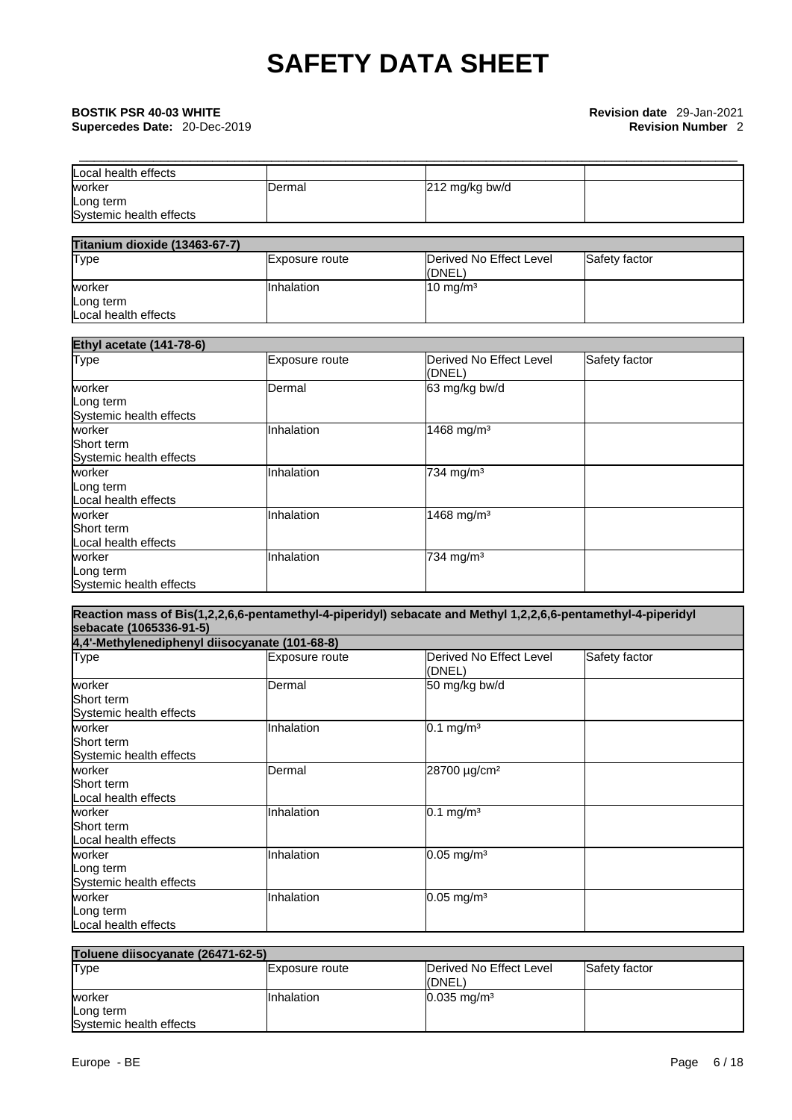## \_\_\_\_\_\_\_\_\_\_\_\_\_\_\_\_\_\_\_\_\_\_\_\_\_\_\_\_\_\_\_\_\_\_\_\_\_\_\_\_\_\_\_\_\_\_\_\_\_\_\_\_\_\_\_\_\_\_\_\_\_\_\_\_\_\_\_\_\_\_\_\_\_\_\_\_\_\_\_\_\_\_\_\_\_\_\_\_\_ **BOSTIK PSR 40-03 WHITE Revision date** 29-Jan-2021

| Local health effects    |         |                |  |
|-------------------------|---------|----------------|--|
| worker                  | IDermal | 212 mg/kg bw/d |  |
| Long term               |         |                |  |
| Systemic health effects |         |                |  |

| Titanium dioxide (13463-67-7) |                |                         |               |
|-------------------------------|----------------|-------------------------|---------------|
| <b>Type</b>                   | Exposure route | Derived No Effect Level | Safety factor |
|                               |                | (DNEL)                  |               |
| worker                        | IInhalation    | $10 \text{ mg/m}^3$     |               |
| Long term                     |                |                         |               |
| Local health effects          |                |                         |               |

| <b>Ethyl acetate (141-78-6)</b>                 |                |                                   |               |  |
|-------------------------------------------------|----------------|-----------------------------------|---------------|--|
| Type                                            | Exposure route | Derived No Effect Level<br>(DNEL) | Safety factor |  |
| worker<br>Long term<br>Systemic health effects  | Dermal         | 63 mg/kg bw/d                     |               |  |
| worker<br>Short term<br>Systemic health effects | Inhalation     | 1468 mg/m <sup>3</sup>            |               |  |
| worker<br>Long term<br>Local health effects     | Inhalation     | $734$ mg/m <sup>3</sup>           |               |  |
| worker<br>Short term<br>Local health effects    | Inhalation     | 1468 mg/m <sup>3</sup>            |               |  |
| worker<br>Long term<br>Systemic health effects  | Inhalation     | 734 mg/m <sup>3</sup>             |               |  |

| sebacate (1065336-91-5)                         |                       | Reaction mass of Bis(1,2,2,6,6-pentamethyl-4-piperidyl) sebacate and Methyl 1,2,2,6,6-pentamethyl-4-piperidyl |               |  |  |
|-------------------------------------------------|-----------------------|---------------------------------------------------------------------------------------------------------------|---------------|--|--|
| 4,4'-Methylenediphenyl diisocyanate (101-68-8)  |                       |                                                                                                               |               |  |  |
| Type                                            | <b>Exposure route</b> | lDerived No Effect Level<br>(DNEL)                                                                            | Safety factor |  |  |
| worker<br>Short term<br>Systemic health effects | Dermal                | 50 mg/kg bw/d                                                                                                 |               |  |  |
| worker<br>Short term<br>Systemic health effects | Inhalation            | $0.1$ mg/m <sup>3</sup>                                                                                       |               |  |  |
| worker<br>Short term<br>Local health effects    | Dermal                | 28700 µg/cm <sup>2</sup>                                                                                      |               |  |  |
| worker<br>Short term<br>Local health effects    | <b>Inhalation</b>     | $0.1 \text{ mg/m}^3$                                                                                          |               |  |  |
| worker<br>Long term<br>Systemic health effects  | Inhalation            | $0.05$ mg/m <sup>3</sup>                                                                                      |               |  |  |
| worker<br>Long term<br>Local health effects     | Inhalation            | $0.05$ mg/m <sup>3</sup>                                                                                      |               |  |  |

| Toluene diisocyanate (26471-62-5) |                |                                   |               |
|-----------------------------------|----------------|-----------------------------------|---------------|
| Type                              | Exposure route | Derived No Effect Level<br>(DNEL) | Safety factor |
| worker                            | Inhalation     | $0.035$ mg/m <sup>3</sup>         |               |
| Long term                         |                |                                   |               |
| Systemic health effects           |                |                                   |               |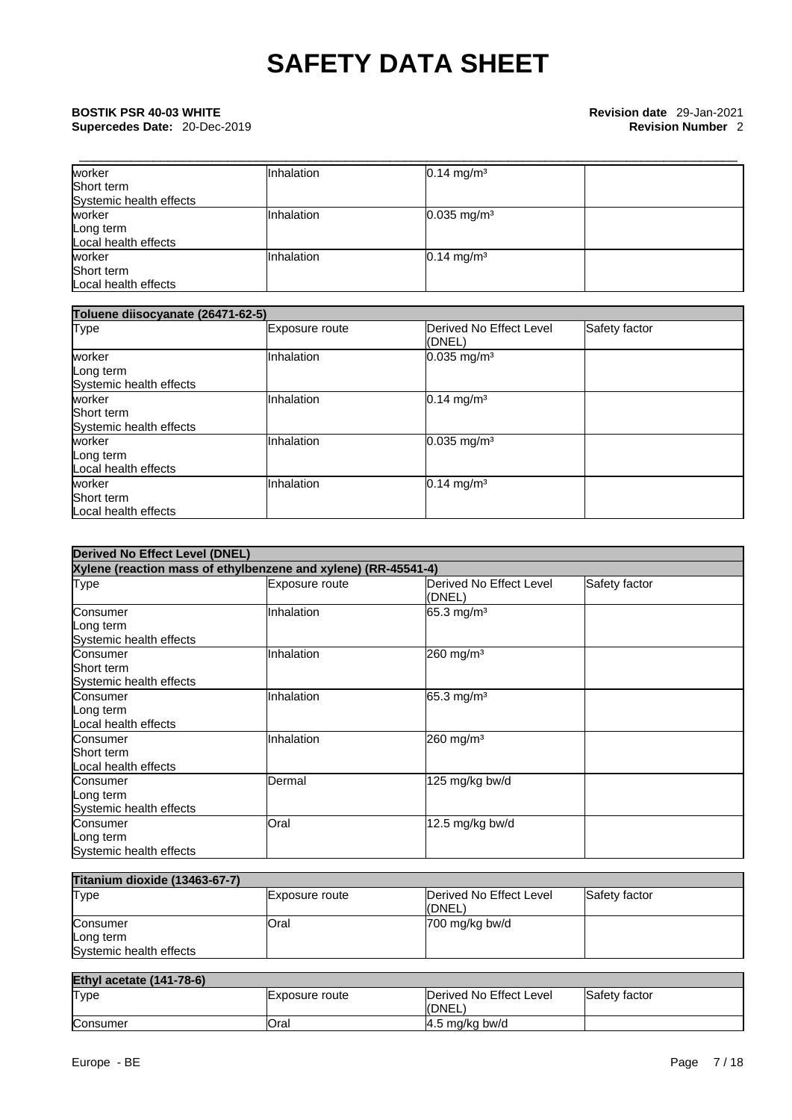| worker                  | Inhalation | $0.14$ mg/m <sup>3</sup>  |  |
|-------------------------|------------|---------------------------|--|
| Short term              |            |                           |  |
| Systemic health effects |            |                           |  |
| worker                  | Inhalation | $0.035$ mg/m <sup>3</sup> |  |
| Long term               |            |                           |  |
| Local health effects    |            |                           |  |
| worker                  | Inhalation | $0.14$ mg/m <sup>3</sup>  |  |
| Short term              |            |                           |  |
| Local health effects    |            |                           |  |

| Toluene diisocyanate (26471-62-5)               |                |                                   |               |
|-------------------------------------------------|----------------|-----------------------------------|---------------|
| <b>Type</b>                                     | Exposure route | Derived No Effect Level<br>(DNEL) | Safety factor |
| worker<br>Long term<br>Systemic health effects  | Inhalation     | $0.035$ mg/m <sup>3</sup>         |               |
| worker<br>Short term<br>Systemic health effects | Inhalation     | $0.14$ mg/m <sup>3</sup>          |               |
| worker<br>Long term<br>Local health effects     | Inhalation     | $0.035$ mg/m <sup>3</sup>         |               |
| worker<br>Short term<br>Local health effects    | Inhalation     | $0.14$ mg/m <sup>3</sup>          |               |

| <b>Derived No Effect Level (DNEL)</b>                          |                |                                   |               |
|----------------------------------------------------------------|----------------|-----------------------------------|---------------|
| Xylene (reaction mass of ethylbenzene and xylene) (RR-45541-4) |                |                                   |               |
| <b>Type</b>                                                    | Exposure route | Derived No Effect Level<br>(DNEL) | Safety factor |
| Consumer<br>Long term<br>Systemic health effects               | Inhalation     | 65.3 mg/m <sup>3</sup>            |               |
| Consumer<br>Short term<br>Systemic health effects              | Inhalation     | 260 mg/m <sup>3</sup>             |               |
| Consumer<br>Long term<br>Local health effects                  | Inhalation     | 65.3 mg/m <sup>3</sup>            |               |
| Consumer<br>Short term<br>Local health effects                 | Inhalation     | 260 mg/m <sup>3</sup>             |               |
| Consumer<br>Long term<br>Systemic health effects               | Dermal         | 125 mg/kg bw/d                    |               |
| Consumer<br>Long term<br>Systemic health effects               | Oral           | 12.5 mg/kg bw/d                   |               |

| <b>Titanium dioxide (13463-67-7)</b> |                |                         |               |
|--------------------------------------|----------------|-------------------------|---------------|
| <b>Type</b>                          | Exposure route | Derived No Effect Level | Safety factor |
|                                      |                | l(DNEL)                 |               |
| Consumer                             | <b>Oral</b>    | 700 mg/kg bw/d          |               |
| Long term                            |                |                         |               |
| Systemic health effects              |                |                         |               |

### **Ethyl acetate (141-78-6)** Type **Exposure route** Derived No Effect Level (DNEL) Safety factor Consumer **Consumer Oral Consumer Consumer A.5 mg/kg bw/d**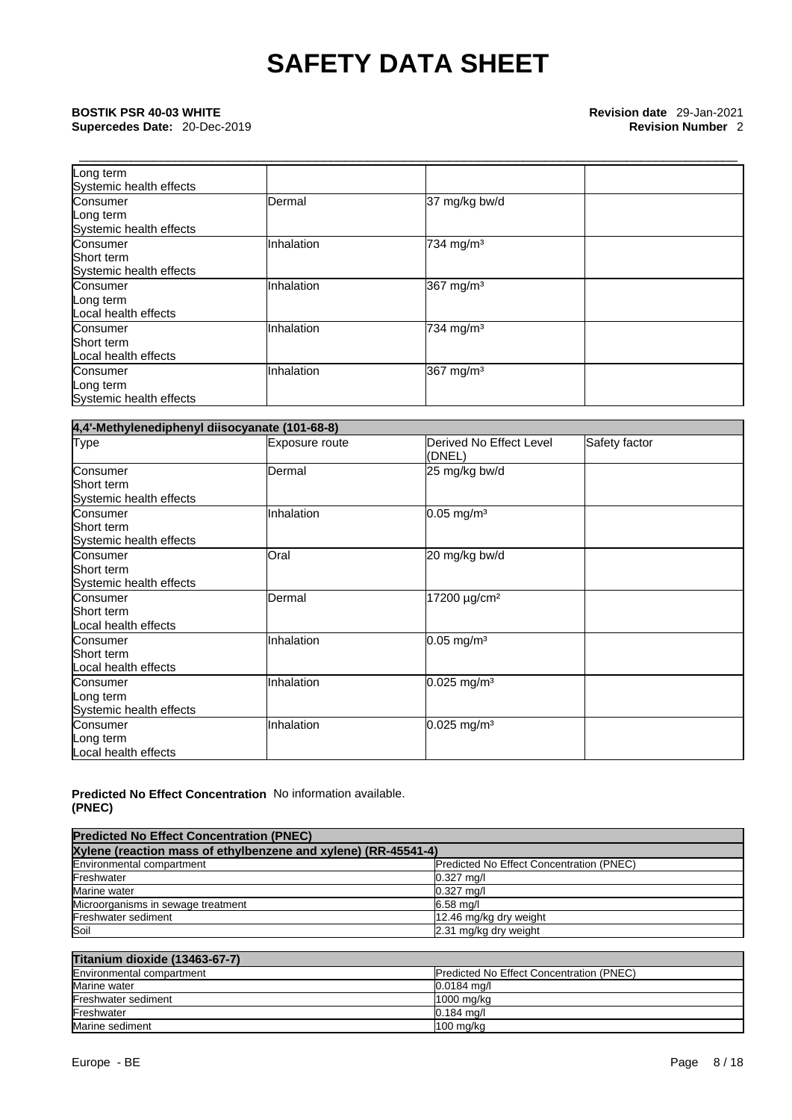**Supercedes Date: 20-Dec-2019** 

| Long term<br>Systemic health effects              |                |                       |  |
|---------------------------------------------------|----------------|-----------------------|--|
| Consumer<br>Long term<br>Systemic health effects  | <b>IDermal</b> | 37 mg/kg bw/d         |  |
| Consumer<br>Short term<br>Systemic health effects | Inhalation     | 734 mg/m <sup>3</sup> |  |
| Consumer<br>Long term<br>Local health effects     | Inhalation     | 367 mg/m <sup>3</sup> |  |
| Consumer<br>Short term<br>Local health effects    | Inhalation     | 734 mg/m <sup>3</sup> |  |
| Consumer<br>Long term<br>Systemic health effects  | Inhalation     | 367 mg/m <sup>3</sup> |  |

| 4,4'-Methylenediphenyl diisocyanate (101-68-8)    |                |                                   |               |
|---------------------------------------------------|----------------|-----------------------------------|---------------|
| Type                                              | Exposure route | Derived No Effect Level<br>(DNEL) | Safety factor |
| Consumer                                          | Dermal         | 25 mg/kg bw/d                     |               |
| Short term<br>Systemic health effects             |                |                                   |               |
| Consumer<br>Short term<br>Systemic health effects | Inhalation     | $0.05$ mg/m <sup>3</sup>          |               |
| Consumer<br>Short term<br>Systemic health effects | Oral           | 20 mg/kg bw/d                     |               |
| Consumer<br>Short term<br>Local health effects    | Dermal         | 17200 µg/cm <sup>2</sup>          |               |
| Consumer<br>Short term<br>Local health effects    | Inhalation     | $0.05$ mg/m <sup>3</sup>          |               |
| Consumer<br>Long term<br>Systemic health effects  | Inhalation     | $0.025$ mg/m <sup>3</sup>         |               |
| Consumer<br>Long term<br>Local health effects     | Inhalation     | $0.025$ mg/m <sup>3</sup>         |               |

### **Predicted No Effect Concentration (PNEC)**  No information available.

| <b>Predicted No Effect Concentration (PNEC)</b><br>Xylene (reaction mass of ethylbenzene and xylene) (RR-45541-4) |                        |  |
|-------------------------------------------------------------------------------------------------------------------|------------------------|--|
|                                                                                                                   |                        |  |
| Freshwater                                                                                                        | $0.327$ mg/l           |  |
| Marine water                                                                                                      | $0.327$ mg/l           |  |
| Microorganisms in sewage treatment                                                                                | $6.58$ mg/l            |  |
| Freshwater sediment                                                                                               | 12.46 mg/kg dry weight |  |
| Soil                                                                                                              | 2.31 mg/kg dry weight  |  |

### **Titanium dioxide (13463-67-7)**

| $\blacksquare$                                                               |                     |
|------------------------------------------------------------------------------|---------------------|
| Environmental compartment<br><b>Predicted No Effect Concentration (PNEC)</b> |                     |
| Marine water                                                                 | $0.0184 \text{ ma}$ |
| Freshwater sediment                                                          | 1000 mg/kg          |
| Freshwater                                                                   | $0.184$ ma/l        |
| Marine sediment                                                              | $100 \text{ mg/kg}$ |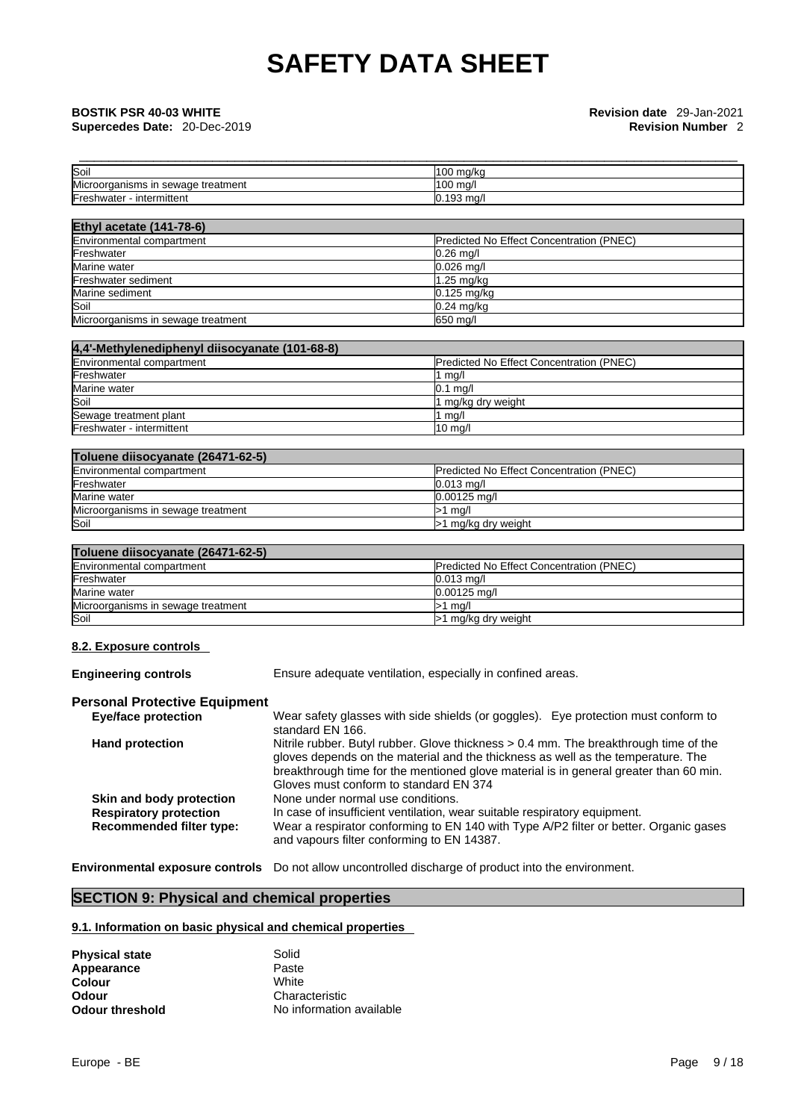| Soil                                                  | 100 ma/ka   |
|-------------------------------------------------------|-------------|
| <b>Microord</b><br>raanisms in<br>sewage<br>treatment | 100 ma/l    |
| Freshwater<br>intermittent                            | $0.193$ mg/ |

| <b>Ethyl acetate (141-78-6)</b>    |                                                 |
|------------------------------------|-------------------------------------------------|
| Environmental compartment          | <b>Predicted No Effect Concentration (PNEC)</b> |
| Freshwater                         | $0.26$ mg/                                      |
| Marine water                       | $0.026$ mg/l                                    |
| Freshwater sediment                | $1.25$ mg/kg                                    |
| Marine sediment                    | $0.125$ mg/kg                                   |
| Soil                               | $0.24$ mg/kg                                    |
| Microorganisms in sewage treatment | 650 mg/l                                        |

| 4,4'-Methylenediphenyl diisocyanate (101-68-8) |                                                 |
|------------------------------------------------|-------------------------------------------------|
| Environmental compartment                      | <b>Predicted No Effect Concentration (PNEC)</b> |
| Freshwater                                     | mg/l                                            |
| Marine water                                   | $0.1$ ma/                                       |
| Soil                                           | 1 mg/kg dry weight                              |
| Sewage treatment plant                         | ma/l                                            |
| Freshwater - intermittent                      | $10$ mg/l                                       |

| Toluene diisocyanate (26471-62-5)  |                                                 |
|------------------------------------|-------------------------------------------------|
| Environmental compartment          | <b>Predicted No Effect Concentration (PNEC)</b> |
| Freshwater                         | $0.013$ ma/l                                    |
| Marine water                       | $0.00125$ ma/l                                  |
| Microorganisms in sewage treatment | $>1$ ma/l                                       |
| Soil                               | >1 mg/kg dry weight                             |

| Toluene diisocyanate (26471-62-5)  |                                                 |  |  |
|------------------------------------|-------------------------------------------------|--|--|
| Environmental compartment          | <b>Predicted No Effect Concentration (PNEC)</b> |  |  |
| Freshwater                         | $0.013 \text{ ma/l}$                            |  |  |
| Marine water                       | $0.00125$ ma/l                                  |  |  |
| Microorganisms in sewage treatment | $>1$ ma/l                                       |  |  |
| Soil                               | >1 mg/kg dry weight                             |  |  |

### **8.2. Exposure controls**

**Engineering controls** Ensure adequate ventilation, especially in confined areas.

### **Personal Protective Equipment**

| <b>Eye/face protection</b>      | Wear safety glasses with side shields (or goggles). Eye protection must conform to    |
|---------------------------------|---------------------------------------------------------------------------------------|
|                                 | standard EN 166.                                                                      |
| <b>Hand protection</b>          | Nitrile rubber. Butyl rubber. Glove thickness > 0.4 mm. The breakthrough time of the  |
|                                 | gloves depends on the material and the thickness as well as the temperature. The      |
|                                 | breakthrough time for the mentioned glove material is in general greater than 60 min. |
|                                 | Gloves must conform to standard EN 374                                                |
| Skin and body protection        | None under normal use conditions.                                                     |
| <b>Respiratory protection</b>   | In case of insufficient ventilation, wear suitable respiratory equipment.             |
| <b>Recommended filter type:</b> | Wear a respirator conforming to EN 140 with Type A/P2 filter or better. Organic gases |
|                                 | and vapours filter conforming to EN 14387.                                            |
|                                 |                                                                                       |

**Environmental exposure controls** Do not allow uncontrolled discharge of product into the environment.

### **SECTION 9: Physical and chemical properties**

### **9.1. Information on basic physical and chemical properties**

| <b>Physical state</b>  | Solid                    |
|------------------------|--------------------------|
| Appearance             | Paste                    |
| Colour                 | White                    |
| Odour                  | Characteristic           |
| <b>Odour threshold</b> | No information available |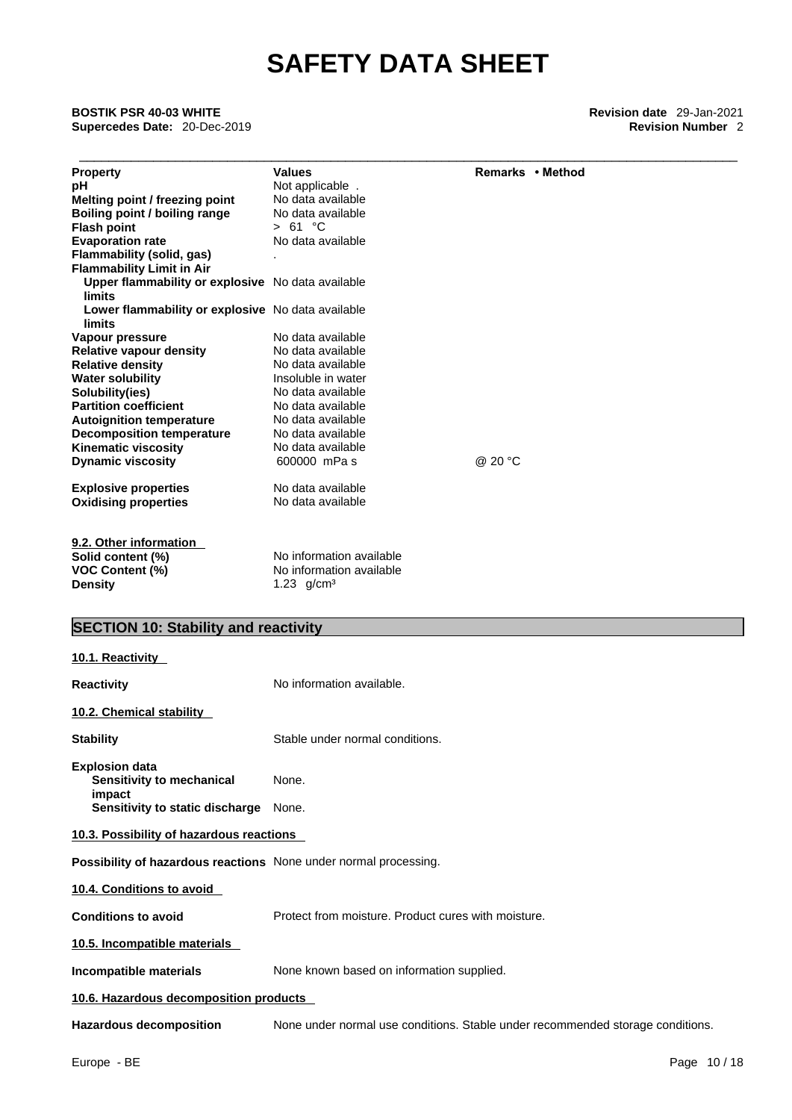| <b>BOSTIK PSR 40-03 WHITE</b><br>Supercedes Date: 20-Dec-2019      |                                                                                |                  | <b>Revision date</b> 29-Jan-2021<br><b>Revision Number 2</b> |
|--------------------------------------------------------------------|--------------------------------------------------------------------------------|------------------|--------------------------------------------------------------|
| <b>Property</b>                                                    | <b>Values</b>                                                                  | Remarks • Method |                                                              |
| рH                                                                 | Not applicable.                                                                |                  |                                                              |
| Melting point / freezing point                                     | No data available                                                              |                  |                                                              |
| Boiling point / boiling range                                      | No data available                                                              |                  |                                                              |
| <b>Flash point</b>                                                 | > 61 °C                                                                        |                  |                                                              |
| <b>Evaporation rate</b>                                            | No data available                                                              |                  |                                                              |
| Flammability (solid, gas)                                          |                                                                                |                  |                                                              |
| <b>Flammability Limit in Air</b>                                   |                                                                                |                  |                                                              |
| Upper flammability or explosive No data available<br><b>limits</b> |                                                                                |                  |                                                              |
| Lower flammability or explosive No data available<br>limits        |                                                                                |                  |                                                              |
| Vapour pressure                                                    | No data available                                                              |                  |                                                              |
| <b>Relative vapour density</b>                                     | No data available                                                              |                  |                                                              |
| <b>Relative density</b>                                            | No data available                                                              |                  |                                                              |
| <b>Water solubility</b>                                            | Insoluble in water                                                             |                  |                                                              |
| Solubility(ies)                                                    | No data available                                                              |                  |                                                              |
| <b>Partition coefficient</b>                                       | No data available                                                              |                  |                                                              |
| <b>Autoignition temperature</b>                                    | No data available                                                              |                  |                                                              |
| <b>Decomposition temperature</b>                                   | No data available                                                              |                  |                                                              |
| <b>Kinematic viscosity</b>                                         | No data available                                                              |                  |                                                              |
| <b>Dynamic viscosity</b>                                           | 600000 mPa s                                                                   | @ 20 °C          |                                                              |
| <b>Explosive properties</b><br><b>Oxidising properties</b>         | No data available<br>No data available                                         |                  |                                                              |
| 9.2. Other information                                             |                                                                                |                  |                                                              |
| Solid content (%)                                                  | No information available                                                       |                  |                                                              |
| <b>VOC Content (%)</b>                                             | No information available                                                       |                  |                                                              |
| <b>Density</b>                                                     | 1.23 $g/cm3$                                                                   |                  |                                                              |
| <b>SECTION 10: Stability and reactivity</b>                        |                                                                                |                  |                                                              |
| 10.1. Reactivity                                                   |                                                                                |                  |                                                              |
| <b>Reactivity</b>                                                  | No information available.                                                      |                  |                                                              |
| 10.2. Chemical stability                                           |                                                                                |                  |                                                              |
| <b>Stability</b>                                                   | Stable under normal conditions.                                                |                  |                                                              |
| <b>Explosion data</b><br>Sensitivity to mechanical                 | None.                                                                          |                  |                                                              |
| impact<br>Sensitivity to static discharge                          | None.                                                                          |                  |                                                              |
|                                                                    |                                                                                |                  |                                                              |
| 10.3. Possibility of hazardous reactions                           |                                                                                |                  |                                                              |
| Possibility of hazardous reactions None under normal processing.   |                                                                                |                  |                                                              |
| 10.4. Conditions to avoid                                          |                                                                                |                  |                                                              |
| <b>Conditions to avoid</b>                                         | Protect from moisture. Product cures with moisture.                            |                  |                                                              |
| 10.5. Incompatible materials                                       |                                                                                |                  |                                                              |
| Incompatible materials                                             | None known based on information supplied.                                      |                  |                                                              |
| 10.6. Hazardous decomposition products                             |                                                                                |                  |                                                              |
| <b>Hazardous decomposition</b>                                     | None under normal use conditions. Stable under recommended storage conditions. |                  |                                                              |
|                                                                    |                                                                                |                  |                                                              |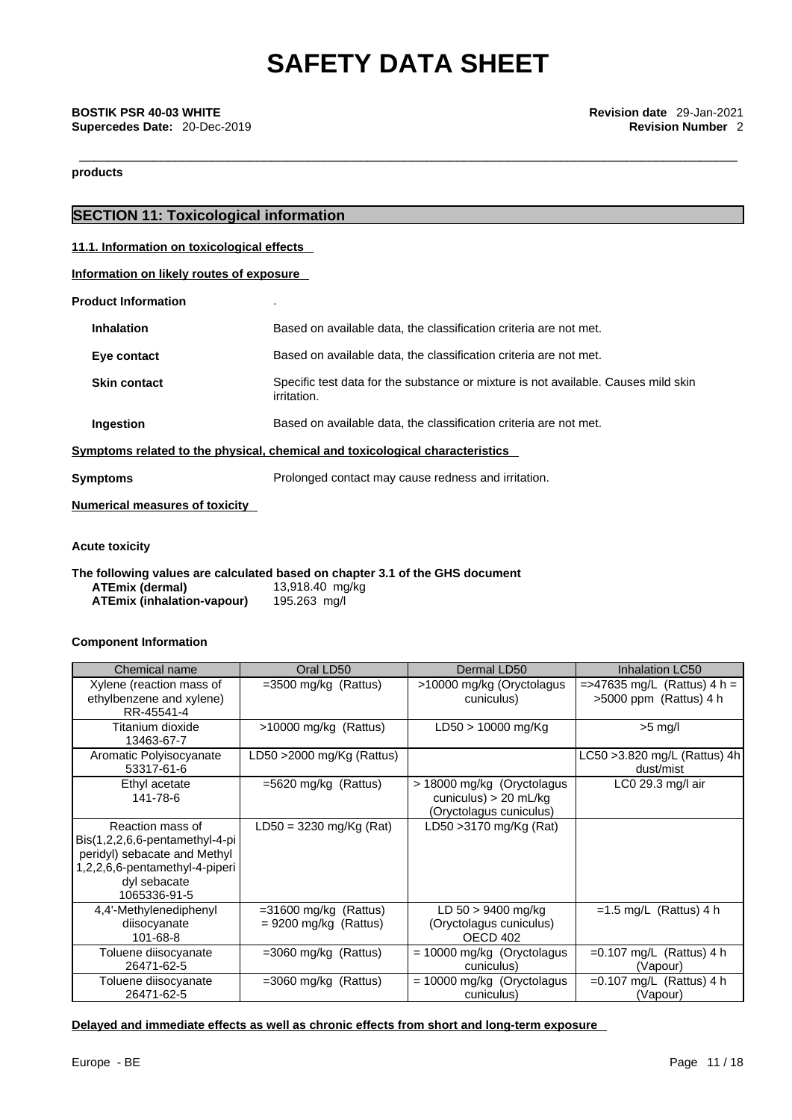**products** 

### **SECTION 11: Toxicological information**

**11.1. Information on toxicological effects**

**Information on likely routes of exposure**

**Product Information** .

| Symptoms related to the physical, chemical and toxicological characteristics |                                                                                                   |  |  |  |
|------------------------------------------------------------------------------|---------------------------------------------------------------------------------------------------|--|--|--|
| Ingestion                                                                    | Based on available data, the classification criteria are not met.                                 |  |  |  |
| <b>Skin contact</b>                                                          | Specific test data for the substance or mixture is not available. Causes mild skin<br>irritation. |  |  |  |
| Eye contact                                                                  | Based on available data, the classification criteria are not met.                                 |  |  |  |
| <b>Inhalation</b>                                                            | Based on available data, the classification criteria are not met.                                 |  |  |  |

**Symptoms Prolonged contact may cause redness and irritation.** 

**Numerical measures of toxicity**

**Acute toxicity** 

**The following values are calculated based on chapter 3.1 of the GHS document ATEmix** (dermal) **ATEmix (inhalation-vapour)** 195.263 mg/l

### **Component Information**

| Chemical name                                                                                                                                         | Oral LD50                                          | Dermal LD50                                                                       | Inhalation LC50                                            |
|-------------------------------------------------------------------------------------------------------------------------------------------------------|----------------------------------------------------|-----------------------------------------------------------------------------------|------------------------------------------------------------|
| Xylene (reaction mass of<br>ethylbenzene and xylene)<br>RR-45541-4                                                                                    | $=3500$ mg/kg (Rattus)                             | >10000 mg/kg (Oryctolagus<br>cuniculus)                                           | $=$ >47635 mg/L (Rattus) 4 h =<br>$>5000$ ppm (Rattus) 4 h |
| Titanium dioxide<br>13463-67-7                                                                                                                        | >10000 mg/kg (Rattus)                              | $LD50 > 10000$ mg/Kg                                                              | $>5$ mg/l                                                  |
| Aromatic Polyisocyanate<br>53317-61-6                                                                                                                 | LD50 >2000 mg/Kg (Rattus)                          |                                                                                   | LC50 > 3.820 mg/L (Rattus) 4h<br>dust/mist                 |
| Ethyl acetate<br>141-78-6                                                                                                                             | $=5620$ mg/kg (Rattus)                             | > 18000 mg/kg (Oryctolagus)<br>cuniculus) $> 20$ mL/kg<br>(Oryctolagus cuniculus) | $LCO$ 29.3 mg/l air                                        |
| Reaction mass of<br>Bis(1,2,2,6,6-pentamethyl-4-pi)<br>peridyl) sebacate and Methyl<br>1,2,2,6,6-pentamethyl-4-piperi<br>dyl sebacate<br>1065336-91-5 | $LD50 = 3230$ mg/Kg (Rat)                          | LD50 > 3170 mg/Kg (Rat)                                                           |                                                            |
| 4,4'-Methylenediphenyl<br>diisocyanate<br>101-68-8                                                                                                    | $=31600$ mg/kg (Rattus)<br>$= 9200$ mg/kg (Rattus) | $LD 50 > 9400$ mg/kg<br>(Oryctolagus cuniculus)<br>OECD 402                       | $=1.5$ mg/L (Rattus) 4 h                                   |
| Toluene diisocyanate<br>26471-62-5                                                                                                                    | $=3060$ mg/kg (Rattus)                             | $= 10000$ mg/kg (Oryctolagus<br>cuniculus)                                        | $=0.107$ mg/L (Rattus) 4 h<br>(Vapour)                     |
| Toluene diisocyanate<br>26471-62-5                                                                                                                    | $=3060$ mg/kg (Rattus)                             | $= 10000$ mg/kg (Oryctolagus<br>cuniculus)                                        | $=0.107$ mg/L (Rattus) 4 h<br>(Vapour)                     |

### **Delayed and immediate effects as well as chronic effects from short and long-term exposure**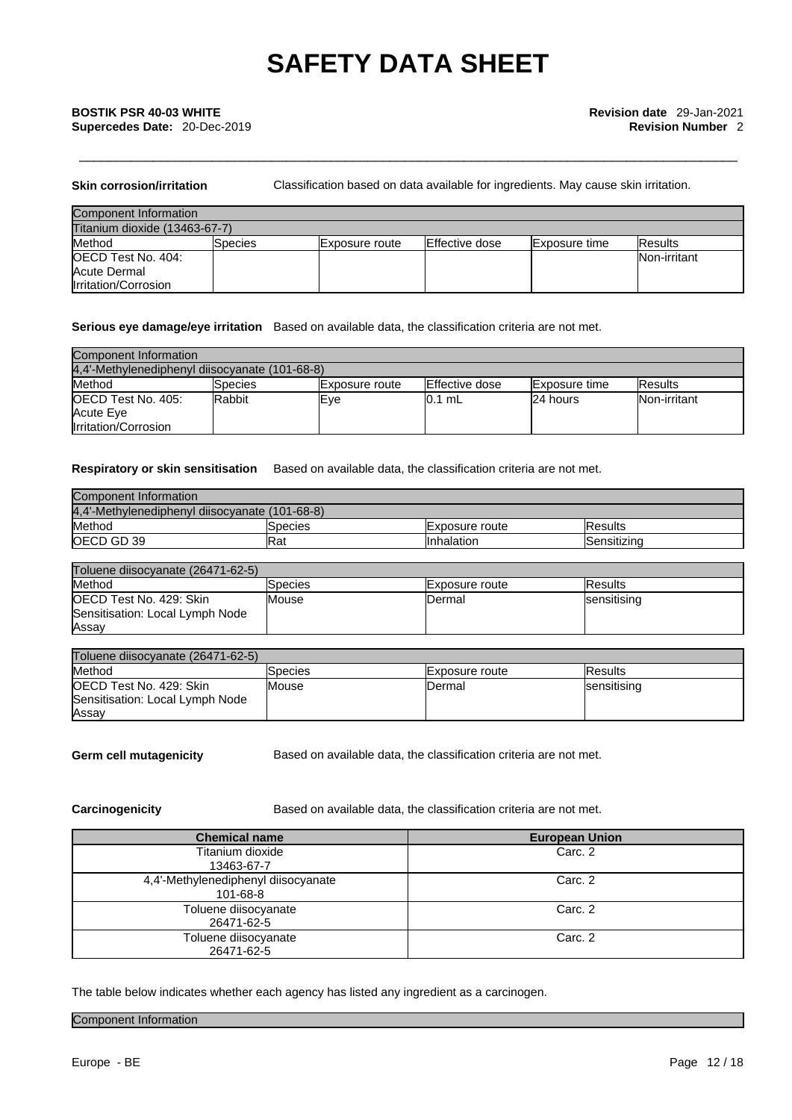**Skin corrosion/irritation** Classification based on data available for ingredients. May cause skin irritation.

| Component Information         |         |                        |                        |                      |                     |
|-------------------------------|---------|------------------------|------------------------|----------------------|---------------------|
| Titanium dioxide (13463-67-7) |         |                        |                        |                      |                     |
| Method                        | Species | <b>IExposure route</b> | <b>IEffective dose</b> | <b>Exposure time</b> | <b>IResults</b>     |
| OECD Test No. 404:            |         |                        |                        |                      | <b>Non-irritant</b> |
| <b>Acute Dermal</b>           |         |                        |                        |                      |                     |
| Irritation/Corrosion          |         |                        |                        |                      |                     |

### **Serious eye damage/eye irritation** Based on available data, the classification criteria are not met.

| Component Information                          |          |                        |                |                      |                 |
|------------------------------------------------|----------|------------------------|----------------|----------------------|-----------------|
| 4.4'-Methylenediphenyl diisocyanate (101-68-8) |          |                        |                |                      |                 |
| Method                                         | ISpecies | <b>IExposure</b> route | Effective dose | <b>Exposure time</b> | <b>IResults</b> |
| <b>IOECD Test No. 405:</b>                     | lRabbit  | lEve                   | 10.1 mL        | 24 hours             | Non-irritant    |
| Acute Eye                                      |          |                        |                |                      |                 |
| <b>Irritation/Corrosion</b>                    |          |                        |                |                      |                 |

### **Respiratory or skin sensitisation** Based on available data, the classification criteria are not met.

| Component Information                          |         |                 |                |  |
|------------------------------------------------|---------|-----------------|----------------|--|
| 4.4'-Methylenediphenyl diisocyanate (101-68-8) |         |                 |                |  |
| Method                                         | Species | IExposure route | <b>Results</b> |  |
| OECD GD 39                                     | lRat    | IInhalation     | Sensitizina    |  |

| Toluene diisocyanate (26471-62-5) |         |                |                    |  |
|-----------------------------------|---------|----------------|--------------------|--|
| Method                            | Species | Exposure route | lResults           |  |
| OECD Test No. 429: Skin           | Mouse   | IDermal        | <b>sensitising</b> |  |
| Sensitisation: Local Lymph Node   |         |                |                    |  |
| Assay                             |         |                |                    |  |

| Toluene diisocyanate (26471-62-5) |              |                |                     |  |
|-----------------------------------|--------------|----------------|---------------------|--|
| Method                            | Species      | Exposure route | IResults            |  |
| <b>OECD Test No. 429: Skin</b>    | <b>Mouse</b> | <b>IDermal</b> | <b>Isensitising</b> |  |
| Sensitisation: Local Lymph Node   |              |                |                     |  |
| Assay                             |              |                |                     |  |

**Germ cell mutagenicity** Based on available data, the classification criteria are not met.

**Carcinogenicity** Based on available data, the classification criteria are not met.

| <b>Chemical name</b>                                  | <b>European Union</b> |
|-------------------------------------------------------|-----------------------|
| Titanium dioxide<br>13463-67-7                        | Carc. 2               |
| 4,4'-Methylenediphenyl diisocyanate<br>$101 - 68 - 8$ | Carc. 2               |
| Toluene diisocyanate<br>26471-62-5                    | Carc. 2               |
| Toluene diisocyanate<br>26471-62-5                    | Carc. 2               |

The table below indicates whether each agency has listed any ingredient as a carcinogen.

### Component Information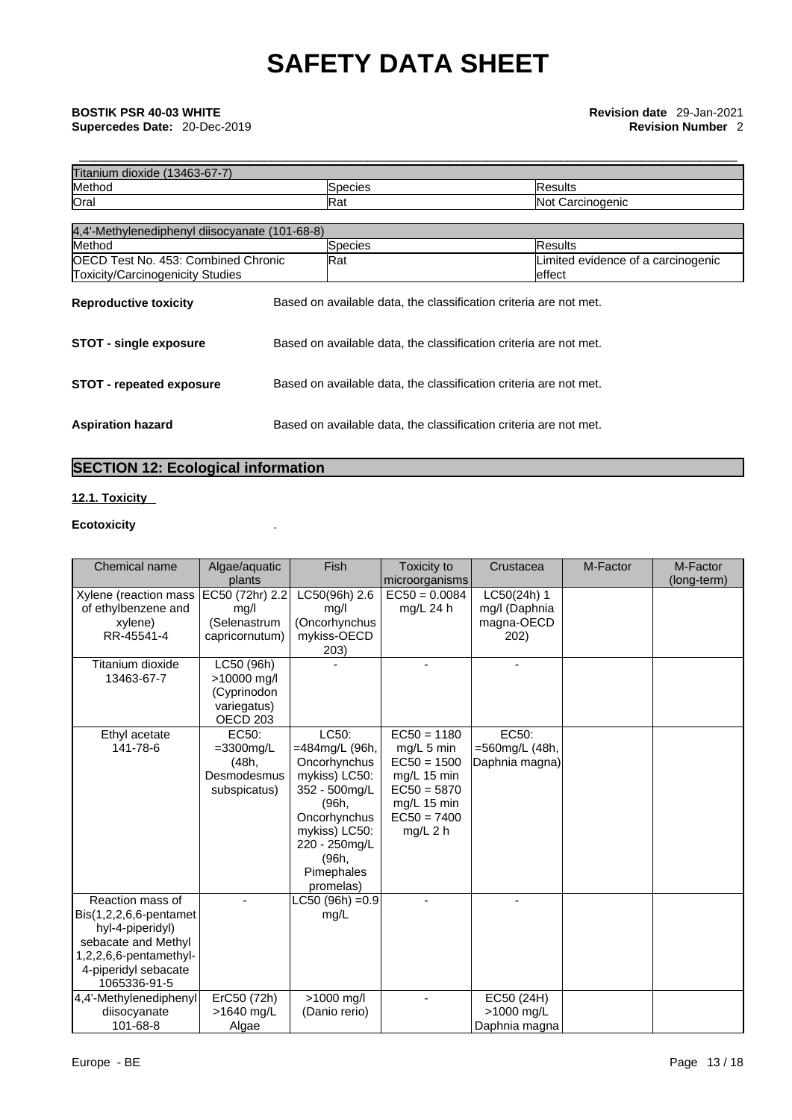|     |                                                | Species                                                           | <b>Results</b>                     |
|-----|------------------------------------------------|-------------------------------------------------------------------|------------------------------------|
| Rat |                                                |                                                                   | Not Carcinogenic                   |
|     |                                                |                                                                   |                                    |
|     | 4,4'-Methylenediphenyl diisocyanate (101-68-8) |                                                                   |                                    |
|     |                                                | Species                                                           | Results                            |
| Rat | OECD Test No. 453: Combined Chronic            |                                                                   | Limited evidence of a carcinogenic |
|     |                                                |                                                                   | leffect                            |
|     |                                                | Based on available data, the classification criteria are not met. |                                    |
|     |                                                | Based on available data, the classification criteria are not met. |                                    |
|     |                                                | Based on available data, the classification criteria are not met. |                                    |
|     |                                                | Based on available data, the classification criteria are not met. |                                    |

### **SECTION 12: Ecological information**

### **12.1. Toxicity**

### **Ecotoxicity** .

| Chemical name                                                                                                                                              | Algae/aguatic                                                           | Fish                                                                                                                                                                     | Toxicity to                                                                                                                | Crustacea                                          | M-Factor | M-Factor    |
|------------------------------------------------------------------------------------------------------------------------------------------------------------|-------------------------------------------------------------------------|--------------------------------------------------------------------------------------------------------------------------------------------------------------------------|----------------------------------------------------------------------------------------------------------------------------|----------------------------------------------------|----------|-------------|
|                                                                                                                                                            | plants                                                                  |                                                                                                                                                                          | microorganisms                                                                                                             |                                                    |          | (long-term) |
| Xylene (reaction mass<br>of ethylbenzene and<br>xylene)<br>RR-45541-4<br>Titanium dioxide                                                                  | EC50 (72hr) 2.2<br>mg/l<br>(Selenastrum<br>capricornutum)<br>LC50 (96h) | LC50(96h) 2.6<br>mg/l<br>(Oncorhynchus<br>mykiss-OECD<br>203)                                                                                                            | $EC50 = 0.0084$<br>$mq/L$ 24 h                                                                                             | LC50(24h) 1<br>mg/I (Daphnia<br>magna-OECD<br>202) |          |             |
| 13463-67-7                                                                                                                                                 | >10000 mg/l<br>(Cyprinodon<br>variegatus)<br>OECD <sub>203</sub>        |                                                                                                                                                                          |                                                                                                                            |                                                    |          |             |
| Ethyl acetate<br>141-78-6                                                                                                                                  | EC50:<br>$=3300$ mg/L<br>(48h,<br>Desmodesmus<br>subspicatus)           | LC50:<br>=484mg/L (96h,<br>Oncorhynchus<br>mykiss) LC50:<br>352 - 500mg/L<br>(96h,<br>Oncorhynchus<br>mykiss) LC50:<br>220 - 250mg/L<br>(96h,<br>Pimephales<br>promelas) | $EC50 = 1180$<br>$mg/L$ 5 min<br>$EC50 = 1500$<br>mg/L 15 min<br>$EC50 = 5870$<br>mg/L 15 min<br>$EC50 = 7400$<br>mg/L 2 h | EC50:<br>=560mg/L (48h,<br>Daphnia magna)          |          |             |
| Reaction mass of<br>$Bis(1,2,2,6,6$ -pentamet<br>hyl-4-piperidyl)<br>sebacate and Methyl<br>1,2,2,6,6-pentamethyl-<br>4-piperidyl sebacate<br>1065336-91-5 |                                                                         | LC50 (96h) = 0.9<br>mg/L                                                                                                                                                 |                                                                                                                            |                                                    |          |             |
| 4,4'-Methylenediphenyl<br>diisocyanate<br>101-68-8                                                                                                         | ErC50 (72h)<br>>1640 mg/L<br>Algae                                      | >1000 mg/l<br>(Danio rerio)                                                                                                                                              |                                                                                                                            | EC50 (24H)<br>>1000 mg/L<br>Daphnia magna          |          |             |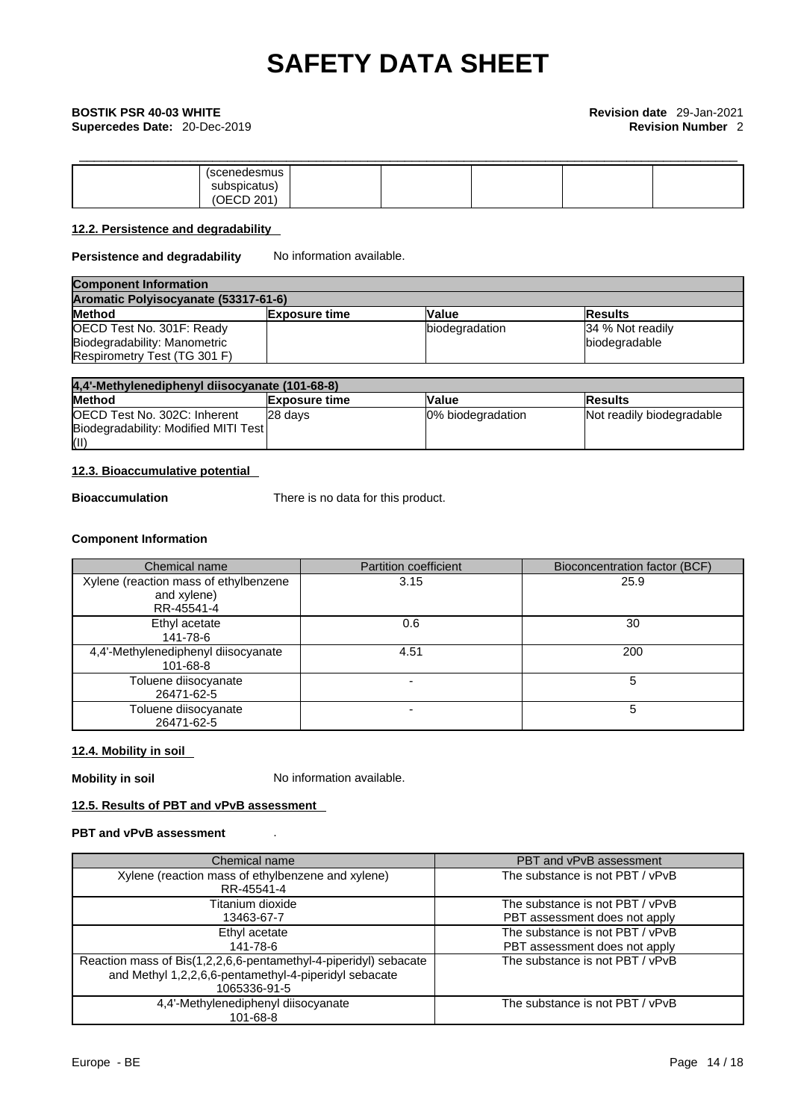# \_\_\_\_\_\_\_\_\_\_\_\_\_\_\_\_\_\_\_\_\_\_\_\_\_\_\_\_\_\_\_\_\_\_\_\_\_\_\_\_\_\_\_\_\_\_\_\_\_\_\_\_\_\_\_\_\_\_\_\_\_\_\_\_\_\_\_\_\_\_\_\_\_\_\_\_\_\_\_\_\_\_\_\_\_\_\_\_\_ **BOSTIK PSR 40-03 WHITE Revision date** 29-Jan-2021

| (scenedesmus                     |  |  |
|----------------------------------|--|--|
| subspicatus)                     |  |  |
| ′∩Fı<br>0.04<br>IULU <i>U</i> ZU |  |  |

### **12.2. Persistence and degradability**

### **Persistence and degradability** No information available.

| <b>Component Information</b>                  |                      |                |                  |  |
|-----------------------------------------------|----------------------|----------------|------------------|--|
| Aromatic Polyisocyanate (53317-61-6)          |                      |                |                  |  |
| <b>Method</b>                                 | <b>Exposure time</b> | Value          | <b>Results</b>   |  |
| OECD Test No. 301F: Ready                     |                      | biodegradation | 34 % Not readily |  |
| Biodegradability: Manometric<br>biodegradable |                      |                |                  |  |
| <b>Respirometry Test (TG 301 F)</b>           |                      |                |                  |  |

| 4,4'-Methylenediphenyl diisocyanate (101-68-8) |                      |                   |                           |
|------------------------------------------------|----------------------|-------------------|---------------------------|
| <b>Method</b>                                  | <b>Exposure time</b> | Value             | lResults                  |
| OECD Test No. 302C: Inherent                   | 28 davs              | 0% biodegradation | Not readily biodegradable |
| Biodegradability: Modified MITI Test           |                      |                   |                           |
| (II)                                           |                      |                   |                           |

### **12.3. Bioaccumulative potential**

**Bioaccumulation** There is no data for this product.

### **Component Information**

| Chemical name                                                      | <b>Partition coefficient</b> | Bioconcentration factor (BCF) |
|--------------------------------------------------------------------|------------------------------|-------------------------------|
| Xylene (reaction mass of ethylbenzene<br>and xylene)<br>RR-45541-4 | 3.15                         | 25.9                          |
| Ethyl acetate<br>141-78-6                                          | 0.6                          | 30                            |
| 4,4'-Methylenediphenyl diisocyanate<br>$101 - 68 - 8$              | 4.51                         | 200                           |
| Toluene diisocyanate<br>26471-62-5                                 |                              | 5                             |
| Toluene diisocyanate<br>26471-62-5                                 |                              | 5                             |

### **12.4. Mobility in soil**

**Mobility in soil** No information available.

### **12.5. Results of PBT and vPvB assessment**

### **PBT and vPvB assessment** .

| Chemical name                                                                                                                             | PBT and vPvB assessment                                          |
|-------------------------------------------------------------------------------------------------------------------------------------------|------------------------------------------------------------------|
| Xylene (reaction mass of ethylbenzene and xylene)<br>RR-45541-4                                                                           | The substance is not PBT / vPvB                                  |
| Titanium dioxide<br>13463-67-7                                                                                                            | The substance is not PBT / vPvB<br>PBT assessment does not apply |
| Ethyl acetate<br>141-78-6                                                                                                                 | The substance is not PBT / vPvB<br>PBT assessment does not apply |
| Reaction mass of Bis(1,2,2,6,6-pentamethyl-4-piperidyl) sebacate<br>and Methyl 1,2,2,6,6-pentamethyl-4-piperidyl sebacate<br>1065336-91-5 | The substance is not PBT / vPvB                                  |
| 4,4'-Methylenediphenyl diisocyanate<br>101-68-8                                                                                           | The substance is not PBT / vPvB                                  |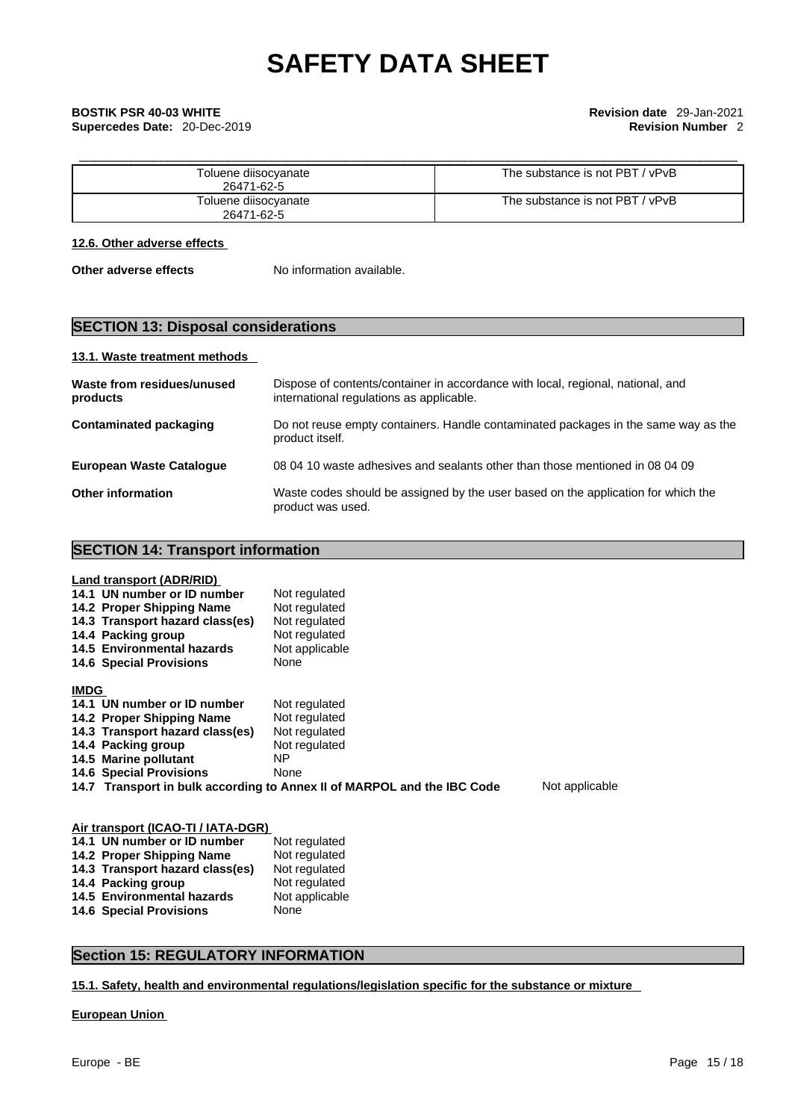**Supercedes Date:** 20-Dec-2019 **Revision Number** 2

| Toluene diisocyanate<br>26471-62-5 | The substance is not PBT / vPvB |
|------------------------------------|---------------------------------|
| Toluene diisocyanate<br>26471-62-5 | The substance is not PBT / vPvB |

### **12.6. Other adverse effects**

**Other adverse effects** No information available.

### **SECTION 13: Disposal considerations**

### **13.1. Waste treatment methods**

| Waste from residues/unused<br>products | Dispose of contents/container in accordance with local, regional, national, and<br>international regulations as applicable. |
|----------------------------------------|-----------------------------------------------------------------------------------------------------------------------------|
| Contaminated packaging                 | Do not reuse empty containers. Handle contaminated packages in the same way as the<br>product itself.                       |
| <b>European Waste Cataloque</b>        | 08 04 10 waste adhesives and sealants other than those mentioned in 08 04 09                                                |
| <b>Other information</b>               | Waste codes should be assigned by the user based on the application for which the<br>product was used.                      |

### **SECTION 14: Transport information**

|             | Land transport (ADR/RID)        |                                                                         |                |
|-------------|---------------------------------|-------------------------------------------------------------------------|----------------|
|             | 14.1 UN number or ID number     | Not regulated                                                           |                |
|             | 14.2 Proper Shipping Name       | Not regulated                                                           |                |
|             | 14.3 Transport hazard class(es) | Not regulated                                                           |                |
|             | 14.4 Packing group              | Not regulated                                                           |                |
|             | 14.5 Environmental hazards      | Not applicable                                                          |                |
|             | <b>14.6 Special Provisions</b>  | None                                                                    |                |
| <b>IMDG</b> |                                 |                                                                         |                |
|             | 14.1 UN number or ID number     | Not regulated                                                           |                |
|             | 14.2 Proper Shipping Name       | Not regulated                                                           |                |
|             | 14.3 Transport hazard class(es) | Not regulated                                                           |                |
|             | 14.4 Packing group              | Not regulated                                                           |                |
|             | 14.5 Marine pollutant           | ΝP                                                                      |                |
|             | <b>14.6 Special Provisions</b>  | None                                                                    |                |
|             |                                 | 14.7 Transport in bulk according to Annex II of MARPOL and the IBC Code | Not applicable |
|             |                                 |                                                                         |                |
|             |                                 |                                                                         |                |

| Air transport (ICAO-TI / IATA-DGR) |                |  |  |
|------------------------------------|----------------|--|--|
| 14.1 UN number or ID number        | Not regulated  |  |  |
| 14.2 Proper Shipping Name          | Not regulated  |  |  |
| 14.3 Transport hazard class(es)    | Not regulated  |  |  |
| 14.4 Packing group                 | Not regulated  |  |  |
| <b>14.5 Environmental hazards</b>  | Not applicable |  |  |
| <b>14.6 Special Provisions</b>     | None           |  |  |

### **Section 15: REGULATORY INFORMATION**

**15.1. Safety, health and environmental regulations/legislation specific for the substance or mixture**

### **European Union**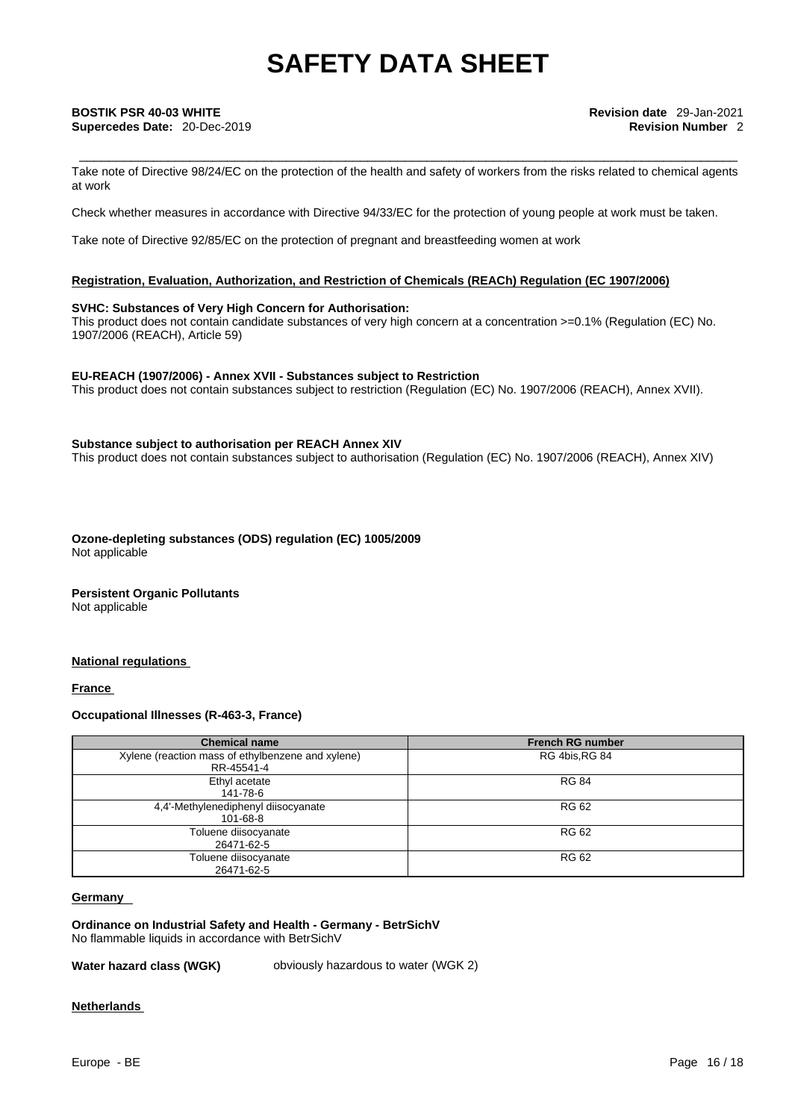## **Supercedes Date:** 20-Dec-2019 **Revision Number** 2

Take note of Directive 98/24/EC on the protection of the health and safety of workers from the risks related to chemical agents at work

Check whether measures in accordance with Directive 94/33/EC for the protection of young people at work must be taken.

Take note of Directive 92/85/EC on the protection of pregnant and breastfeeding women at work

### **Registration, Evaluation, Authorization, and Restriction of Chemicals (REACh) Regulation (EC 1907/2006)**

### **SVHC: Substances of Very High Concern for Authorisation:**

This product does not contain candidate substances of very high concern at a concentration >=0.1% (Regulation (EC) No. 1907/2006 (REACH), Article 59)

### **EU-REACH (1907/2006) - Annex XVII - Substances subject to Restriction**

This product does not contain substances subject to restriction (Regulation (EC) No. 1907/2006 (REACH), Annex XVII).

### **Substance subject to authorisation per REACH Annex XIV**

This product does not contain substances subject to authorisation (Regulation (EC) No. 1907/2006 (REACH), Annex XIV)

**Ozone-depleting substances (ODS) regulation (EC) 1005/2009** Not applicable

### **Persistent Organic Pollutants**

Not applicable

### **National regulations**

**France** 

### **Occupational Illnesses (R-463-3, France)**

| <b>Chemical name</b>                              | <b>French RG number</b> |
|---------------------------------------------------|-------------------------|
| Xylene (reaction mass of ethylbenzene and xylene) | RG 4bis, RG 84          |
| RR-45541-4                                        |                         |
| Ethyl acetate                                     | <b>RG 84</b>            |
| 141-78-6                                          |                         |
| 4,4'-Methylenediphenyl diisocyanate               | <b>RG 62</b>            |
| 101-68-8                                          |                         |
| Toluene diisocyanate                              | <b>RG 62</b>            |
| 26471-62-5                                        |                         |
| Toluene diisocyanate                              | <b>RG 62</b>            |
| 26471-62-5                                        |                         |

### **Germany**

**Ordinance on Industrial Safety and Health - Germany - BetrSichV** No flammable liquids in accordance with BetrSichV

**Water hazard class (WGK)** obviously hazardous to water (WGK 2)

### **Netherlands**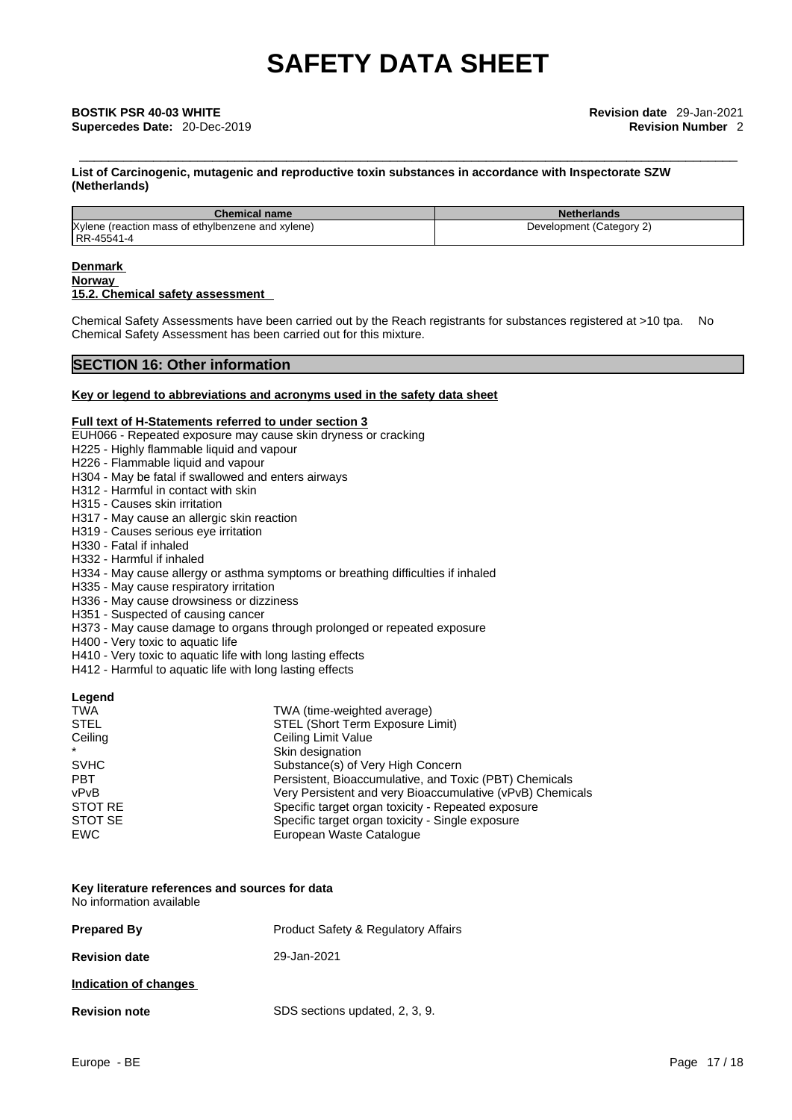**List of Carcinogenic, mutagenic and reproductive toxin substances in accordance with Inspectorate SZW (Netherlands)**

| <b>Chemical name</b>                              | <b>Netherlands</b>       |
|---------------------------------------------------|--------------------------|
| Xylene (reaction mass of ethylbenzene and xylene) | Development (Category 2) |
| RR-45541-4                                        |                          |

### **Denmark**

**Norway** 

### **15.2. Chemical safety assessment**

Chemical Safety Assessments have been carried out by the Reach registrants for substances registered at >10 tpa. No Chemical Safety Assessment has been carried out for this mixture.

### **SECTION 16: Other information**

### **Key or legend to abbreviations and acronyms used in the safety data sheet**

### **Full text of H-Statements referred to under section 3**

- EUH066 Repeated exposure may cause skin dryness or cracking
- H225 Highly flammable liquid and vapour
- H226 Flammable liquid and vapour
- H304 May be fatal if swallowed and enters airways
- H312 Harmful in contact with skin
- H315 Causes skin irritation
- H317 May cause an allergic skin reaction
- H319 Causes serious eye irritation
- H330 Fatal if inhaled
- H332 Harmful if inhaled
- H334 May cause allergy or asthma symptoms or breathing difficulties if inhaled
- H335 May cause respiratory irritation
- H336 May cause drowsiness or dizziness
- H351 Suspected of causing cancer H373 - May cause damage to organs through prolonged or repeated exposure
- H400 Very toxic to aquatic life
- H410 Very toxic to aquatic life with long lasting effects
- H412 Harmful to aquatic life with long lasting effects

### **Legend**

| <b>TWA</b>  | TWA (time-weighted average)                               |
|-------------|-----------------------------------------------------------|
| <b>STEL</b> | STEL (Short Term Exposure Limit)                          |
| Ceiling     | Ceiling Limit Value                                       |
| $\star$     | Skin designation                                          |
| <b>SVHC</b> | Substance(s) of Very High Concern                         |
| <b>PBT</b>  | Persistent, Bioaccumulative, and Toxic (PBT) Chemicals    |
| vPvB        | Very Persistent and very Bioaccumulative (vPvB) Chemicals |
| STOT RE     | Specific target organ toxicity - Repeated exposure        |
| STOT SE     | Specific target organ toxicity - Single exposure          |
| EWC         | European Waste Catalogue                                  |

### **Key literature references and sources for data** No information available

| <b>Prepared By</b>    | <b>Product Safety &amp; Regulatory Affairs</b> |
|-----------------------|------------------------------------------------|
| <b>Revision date</b>  | 29-Jan-2021                                    |
| Indication of changes |                                                |
| <b>Revision note</b>  | SDS sections updated, 2, 3, 9.                 |